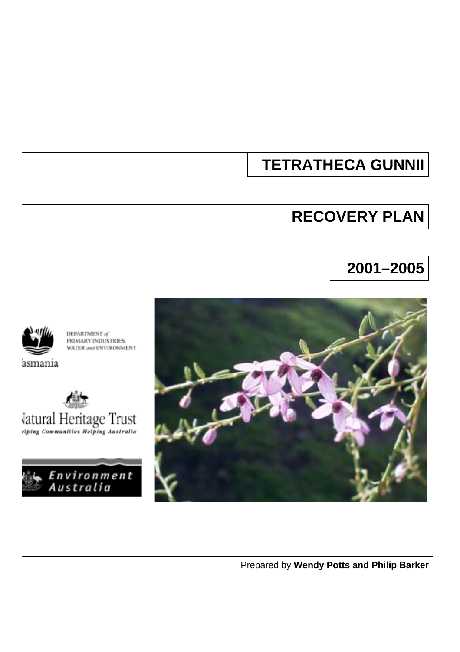# **TETRATHECA GUNNII**

# **RECOVERY PLAN**

# **2001–2005**



DEPARTMENT of PRIMARY INDUSTRIES, WATER and ENVIRONMENT

asmania







Prepared by **Wendy Potts and Philip Barker**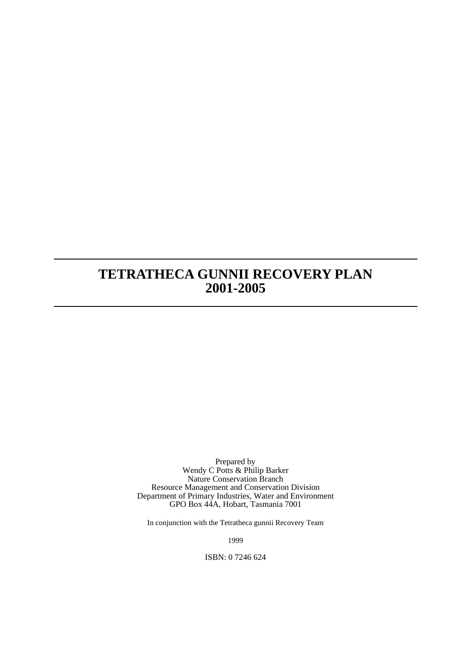# **TETRATHECA GUNNII RECOVERY PLAN 2001-2005**

Prepared by Wendy C Potts & Philip Barker Nature Conservation Branch Resource Management and Conservation Division Department of Primary Industries, Water and Environment GPO Box 44A, Hobart, Tasmania 7001

In conjunction with the Tetratheca gunnii Recovery Team

1999

ISBN: 0 7246 624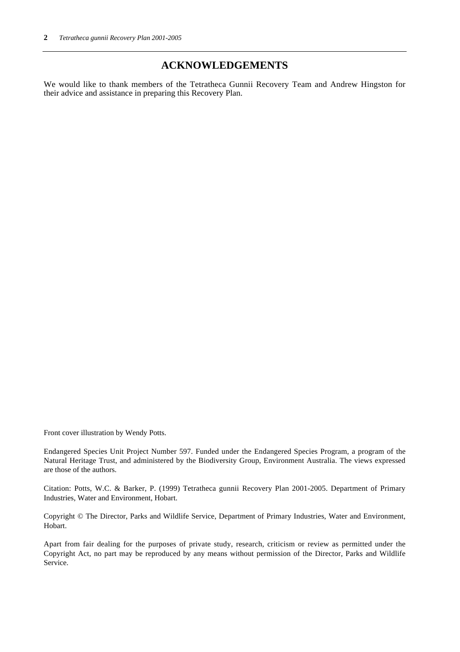## **ACKNOWLEDGEMENTS**

We would like to thank members of the Tetratheca Gunnii Recovery Team and Andrew Hingston for their advice and assistance in preparing this Recovery Plan.

Front cover illustration by Wendy Potts.

Endangered Species Unit Project Number 597. Funded under the Endangered Species Program, a program of the Natural Heritage Trust, and administered by the Biodiversity Group, Environment Australia. The views expressed are those of the authors.

Citation: Potts, W.C. & Barker, P. (1999) Tetratheca gunnii Recovery Plan 2001-2005. Department of Primary Industries, Water and Environment, Hobart.

Copyright © The Director, Parks and Wildlife Service, Department of Primary Industries, Water and Environment, Hobart.

Apart from fair dealing for the purposes of private study, research, criticism or review as permitted under the Copyright Act, no part may be reproduced by any means without permission of the Director, Parks and Wildlife Service.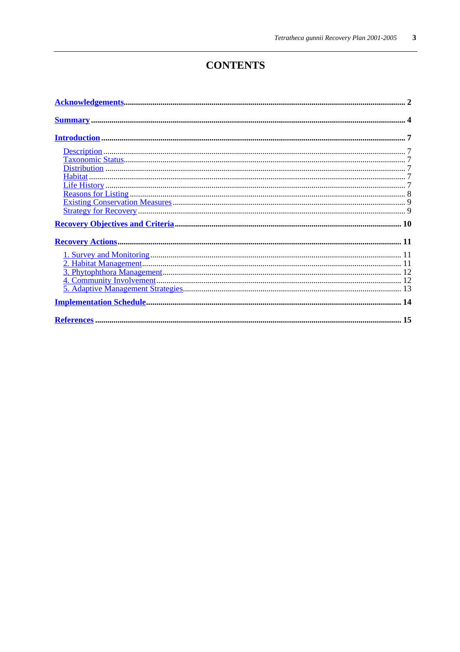# **CONTENTS**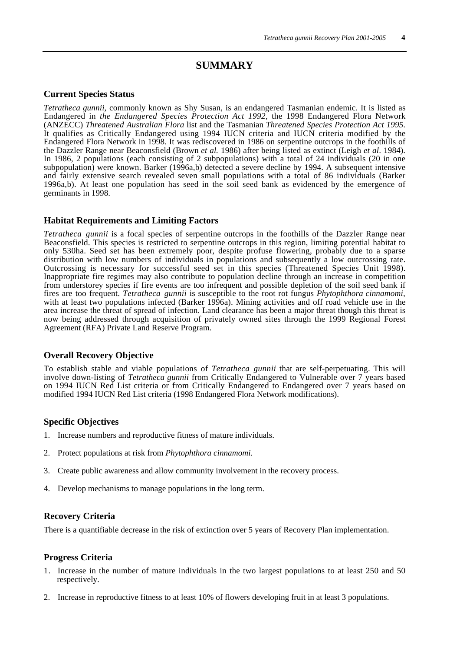## **SUMMARY**

#### **Current Species Status**

*Tetratheca gunnii*, commonly known as Shy Susan, is an endangered Tasmanian endemic. It is listed as Endangered in *the Endangered Species Protection Act 1992*, the 1998 Endangered Flora Network (ANZECC) *Threatened Australian Flora* list and the Tasmanian *Threatened Species Protection Act 1995*. It qualifies as Critically Endangered using 1994 IUCN criteria and IUCN criteria modified by the Endangered Flora Network in 1998. It was rediscovered in 1986 on serpentine outcrops in the foothills of the Dazzler Range near Beaconsfield (Brown *et al.* 1986) after being listed as extinct (Leigh *et al*. 1984). In 1986, 2 populations (each consisting of 2 subpopulations) with a total of 24 individuals (20 in one subpopulation) were known. Barker (1996a,b) detected a severe decline by 1994. A subsequent intensive and fairly extensive search revealed seven small populations with a total of 86 individuals (Barker 1996a,b). At least one population has seed in the soil seed bank as evidenced by the emergence of germinants in 1998.

#### **Habitat Requirements and Limiting Factors**

*Tetratheca gunnii* is a focal species of serpentine outcrops in the foothills of the Dazzler Range near Beaconsfield. This species is restricted to serpentine outcrops in this region, limiting potential habitat to only 530ha. Seed set has been extremely poor, despite profuse flowering, probably due to a sparse distribution with low numbers of individuals in populations and subsequently a low outcrossing rate. Outcrossing is necessary for successful seed set in this species (Threatened Species Unit 1998). Inappropriate fire regimes may also contribute to population decline through an increase in competition from understorey species if fire events are too infrequent and possible depletion of the soil seed bank if fires are too frequent. *Tetratheca gunnii* is susceptible to the root rot fungus *Phytophthora cinnamomi*, with at least two populations infected (Barker 1996a). Mining activities and off road vehicle use in the area increase the threat of spread of infection. Land clearance has been a major threat though this threat is now being addressed through acquisition of privately owned sites through the 1999 Regional Forest Agreement (RFA) Private Land Reserve Program.

#### **Overall Recovery Objective**

To establish stable and viable populations of *Tetratheca gunnii* that are self-perpetuating. This will involve down-listing of *Tetratheca gunnii* from Critically Endangered to Vulnerable over 7 years based on 1994 IUCN Red List criteria or from Critically Endangered to Endangered over 7 years based on modified 1994 IUCN Red List criteria (1998 Endangered Flora Network modifications).

#### **Specific Objectives**

- 1. Increase numbers and reproductive fitness of mature individuals.
- 2. Protect populations at risk from *Phytophthora cinnamomi.*
- 3. Create public awareness and allow community involvement in the recovery process.
- 4. Develop mechanisms to manage populations in the long term.

#### **Recovery Criteria**

There is a quantifiable decrease in the risk of extinction over 5 years of Recovery Plan implementation.

#### **Progress Criteria**

- 1. Increase in the number of mature individuals in the two largest populations to at least 250 and 50 respectively.
- 2. Increase in reproductive fitness to at least 10% of flowers developing fruit in at least 3 populations.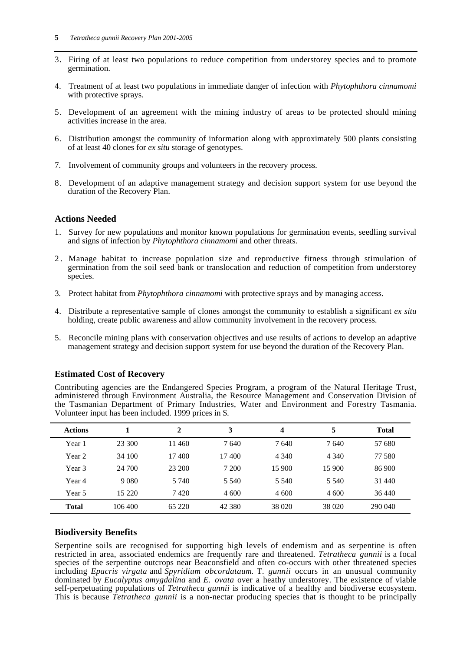- 3. Firing of at least two populations to reduce competition from understorey species and to promote germination.
- 4. Treatment of at least two populations in immediate danger of infection with *Phytophthora cinnamomi* with protective sprays.
- 5. Development of an agreement with the mining industry of areas to be protected should mining activities increase in the area.
- 6. Distribution amongst the community of information along with approximately 500 plants consisting of at least 40 clones for *ex situ* storage of genotypes.
- 7. Involvement of community groups and volunteers in the recovery process.
- 8. Development of an adaptive management strategy and decision support system for use beyond the duration of the Recovery Plan.

#### **Actions Needed**

- 1. Survey for new populations and monitor known populations for germination events, seedling survival and signs of infection by *Phytophthora cinnamomi* and other threats.
- 2 . Manage habitat to increase population size and reproductive fitness through stimulation of germination from the soil seed bank or translocation and reduction of competition from understorey species.
- 3. Protect habitat from *Phytophthora cinnamomi* with protective sprays and by managing access.
- 4. Distribute a representative sample of clones amongst the community to establish a significant *ex situ* holding, create public awareness and allow community involvement in the recovery process.
- 5. Reconcile mining plans with conservation objectives and use results of actions to develop an adaptive management strategy and decision support system for use beyond the duration of the Recovery Plan.

Contributing agencies are the Endangered Species Program, a program of the Natural Heritage Trust, administered through Environment Australia, the Resource Management and Conservation Division of the Tasmanian Department of Primary Industries, Water and Environment and Forestry Tasmania.

| Volunteer input has been included. 1999 prices in \$. |         |         |         |         |         |              |  |  |  |  |
|-------------------------------------------------------|---------|---------|---------|---------|---------|--------------|--|--|--|--|
| <b>Actions</b>                                        |         | 2       | 3       | 4       | 5       | <b>Total</b> |  |  |  |  |
| Year 1                                                | 23 300  | 11460   | 7640    | 7640    | 7640    | 57 680       |  |  |  |  |
| Year 2                                                | 34 100  | 17400   | 17400   | 4 3 4 0 | 4 3 4 0 | 77 580       |  |  |  |  |
| Year 3                                                | 24 700  | 23 200  | 7 200   | 15 900  | 15 900  | 86 900       |  |  |  |  |
| Year 4                                                | 9 0 8 0 | 5 7 4 0 | 5 5 4 0 | 5 5 4 0 | 5 5 4 0 | 31 440       |  |  |  |  |
| Year 5                                                | 15 2 20 | 7420    | 4 600   | 4 600   | 4 600   | 36 440       |  |  |  |  |
| <b>Total</b>                                          | 106 400 | 65 220  | 42 380  | 38 0 20 | 38 0 20 | 290 040      |  |  |  |  |

#### **Estimated Cost of Recovery**

#### **Biodiversity Benefits**

Serpentine soils are recognised for supporting high levels of endemism and as serpentine is often restricted in area, associated endemics are frequently rare and threatened. *Tetratheca gunnii* is a focal species of the serpentine outcrops near Beaconsfield and often co-occurs with other threatened species including *Epacris virgata* and *Spyridium obcordataum*. T. *gunnii* occurs in an unusual community dominated by *Eucalyptus amygdalina* and *E. ovata* over a heathy understorey. The existence of viable self-perpetuating populations of *Tetratheca gunnii* is indicative of a healthy and biodiverse ecosystem. This is because *Tetratheca gunnii* is a non-nectar producing species that is thought to be principally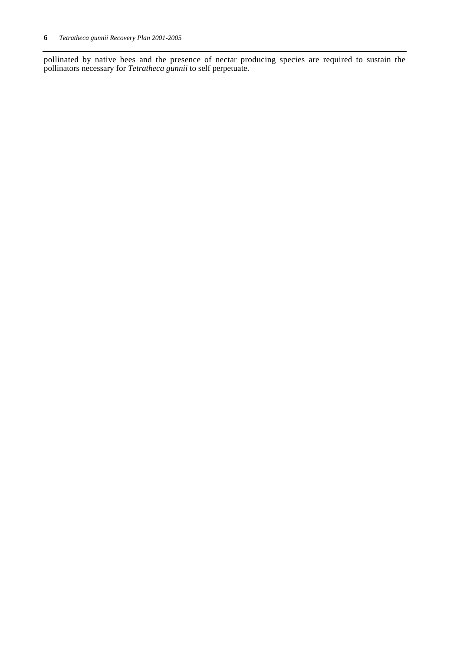pollinated by native bees and the presence of nectar producing species are required to sustain the pollinators necessary for *Tetratheca gunnii* to self perpetuate.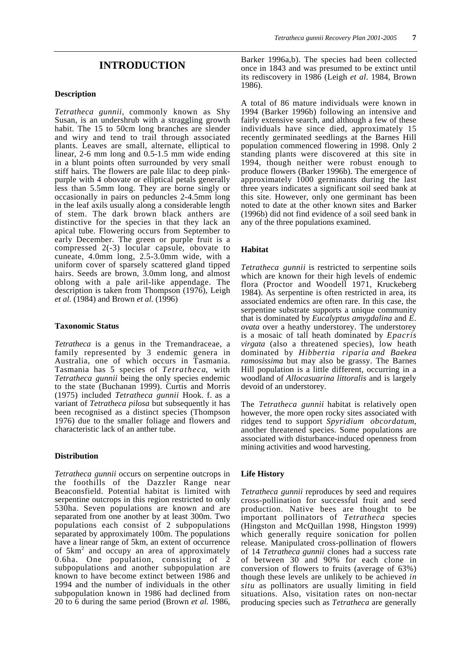#### **Description**

*Tetratheca gunnii,* commonly known as Shy Susan, is an undershrub with a straggling growth habit. The 15 to 50cm long branches are slender and wiry and tend to trail through associated plants. Leaves are small, alternate, elliptical to linear, 2-6 mm long and 0.5-1.5 mm wide ending in a blunt points often surrounded by very small stiff hairs. The flowers are pale lilac to deep pinkpurple with 4 obovate or elliptical petals generally less than 5.5mm long. They are borne singly or occasionally in pairs on peduncles 2-4.5mm long in the leaf axils usually along a considerable length of stem. The dark brown black anthers are distinctive for the species in that they lack an apical tube. Flowering occurs from September to early December. The green or purple fruit is a compressed 2(-3) locular capsule, obovate to cuneate, 4.0mm long, 2.5-3.0mm wide, with a uniform cover of sparsely scattered gland tipped hairs. Seeds are brown, 3.0mm long, and almost oblong with a pale aril-like appendage. The description is taken from Thompson (1976), Leigh *et al.* (1984) and Brown *et al.* (1996)

#### **Taxonomic Status**

*Tetratheca* is a genus in the Tremandraceae, a family represented by 3 endemic genera in Australia, one of which occurs in Tasmania. Tasmania has 5 species of *Tetratheca*, with *Tetratheca gunnii* being the only species endemic to the state (Buchanan 1999). Curtis and Morris (1975) included *Tetratheca gunnii* Hook. f. as a variant of *Tetratheca pilosa* but subsequently it has been recognised as a distinct species (Thompson 1976) due to the smaller foliage and flowers and characteristic lack of an anther tube.

#### **Distribution**

*Tetratheca gunnii* occurs on serpentine outcrops in the foothills of the Dazzler Range near Beaconsfield. Potential habitat is limited with serpentine outcrops in this region restricted to only 530ha. Seven populations are known and are separated from one another by at least 300m. Two populations each consist of 2 subpopulations separated by approximately 100m. The populations have a linear range of 5km, an extent of occurrence of 5km<sup>2</sup> and occupy an area of approximately 0.6ha. One population, consisting of 2 subpopulations and another subpopulation are known to have become extinct between 1986 and 1994 and the number of individuals in the other subpopulation known in 1986 had declined from 20 to 6 during the same period (Brown *et al.* 1986,

Barker 1996a,b). The species had been collected once in 1843 and was presumed to be extinct until its rediscovery in 1986 (Leigh *et al*. 1984, Brown 1986).

A total of 86 mature individuals were known in 1994 (Barker 1996b) following an intensive and fairly extensive search, and although a few of these individuals have since died, approximately 15 recently germinated seedlings at the Barnes Hill population commenced flowering in 1998. Only 2 standing plants were discovered at this site in 1994, though neither were robust enough to produce flowers (Barker 1996b). The emergence of approximately 1000 germinants during the last three years indicates a significant soil seed bank at this site. However, only one germinant has been noted to date at the other known sites and Barker (1996b) did not find evidence of a soil seed bank in any of the three populations examined.

#### **Habitat**

*Tetratheca gunnii* is restricted to serpentine soils which are known for their high levels of endemic flora (Proctor and Woodell 1971, Kruckeberg 1984). As serpentine is often restricted in area, its associated endemics are often rare. In this case, the serpentine substrate supports a unique community that is dominated by *Eucalyptus amygdalina* and *E. ovata* over a heathy understorey. The understorey is a mosaic of tall heath dominated by *Epacris virgata* (also a threatened species), low heath dominated by *Hibbertia riparia and Baekea ramosissima* but may also be grassy. The Barnes Hill population is a little different, occurring in a woodland of *Allocasuarina littoralis* and is largely devoid of an understorey.

The *Tetratheca gunnii* habitat is relatively open however, the more open rocky sites associated with ridges tend to support *Spyridium obcordatum*, another threatened species. Some populations are associated with disturbance-induced openness from mining activities and wood harvesting.

#### **Life History**

*Tetratheca gunnii* reproduces by seed and requires cross-pollination for successful fruit and seed production. Native bees are thought to be important pollinators of *Tetratheca* species (Hingston and McQuillan 1998, Hingston 1999) which generally require sonication for pollen release. Manipulated cross-pollination of flowers of 14 *Tetratheca gunnii* clones had a success rate of between 30 and 90% for each clone in conversion of flowers to fruits (average of 63%) though these levels are unlikely to be achieved *in situ* as pollinators are usually limiting in field situations. Also, visitation rates on non-nectar producing species such as *Tetratheca* are generally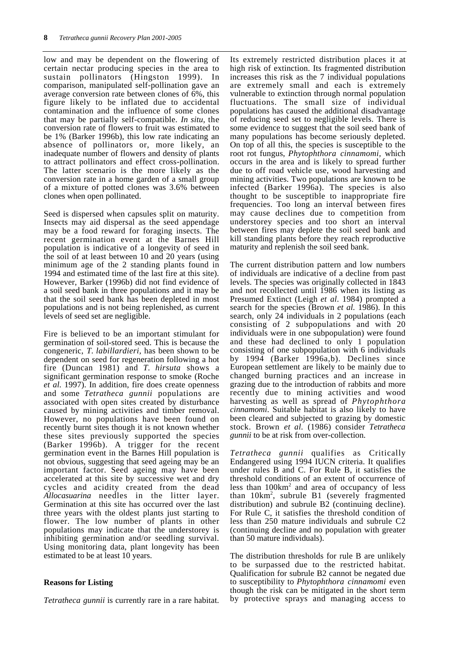low and may be dependent on the flowering of certain nectar producing species in the area to sustain pollinators (Hingston 1999). In comparison, manipulated self-pollination gave an average conversion rate between clones of 6%, this figure likely to be inflated due to accidental contamination and the influence of some clones that may be partially self-compatible. *In situ,* the conversion rate of flowers to fruit was estimated to be 1% (Barker 1996b), this low rate indicating an absence of pollinators or, more likely, an inadequate number of flowers and density of plants to attract pollinators and effect cross-pollination. The latter scenario is the more likely as the conversion rate in a home garden of a small group of a mixture of potted clones was 3.6% between clones when open pollinated.

Seed is dispersed when capsules split on maturity. Insects may aid dispersal as the seed appendage may be a food reward for foraging insects. The recent germination event at the Barnes Hill population is indicative of a longevity of seed in the soil of at least between 10 and 20 years (using minimum age of the 2 standing plants found in 1994 and estimated time of the last fire at this site). However, Barker (1996b) did not find evidence of a soil seed bank in three populations and it may be that the soil seed bank has been depleted in most populations and is not being replenished, as current levels of seed set are negligible.

Fire is believed to be an important stimulant for germination of soil-stored seed. This is because the congeneric, *T. labillardieri,* has been shown to be dependent on seed for regeneration following a hot fire (Duncan 1981) and *T. hirsuta* shows a significant germination response to smoke (Roche *et al.* 1997). In addition, fire does create openness and some *Tetratheca gunnii* populations are associated with open sites created by disturbance caused by mining activities and timber removal. However, no populations have been found on recently burnt sites though it is not known whether these sites previously supported the species (Barker 1996b). A trigger for the recent germination event in the Barnes Hill population is not obvious, suggesting that seed ageing may be an important factor. Seed ageing may have been accelerated at this site by successive wet and dry cycles and acidity created from the dead *Allocasuarina* needles in the litter layer. Germination at this site has occurred over the last three years with the oldest plants just starting to flower. The low number of plants in other populations may indicate that the understorey is inhibiting germination and/or seedling survival. Using monitoring data, plant longevity has been estimated to be at least 10 years.

#### **Reasons for Listing**

*Tetratheca gunnii* is currently rare in a rare habitat.

Its extremely restricted distribution places it at high risk of extinction. Its fragmented distribution increases this risk as the 7 individual populations are extremely small and each is extremely vulnerable to extinction through normal population fluctuations. The small size of individual populations has caused the additional disadvantage of reducing seed set to negligible levels. There is some evidence to suggest that the soil seed bank of many populations has become seriously depleted. On top of all this, the species is susceptible to the root rot fungus, *Phytophthora cinnamomi,* which occurs in the area and is likely to spread further due to off road vehicle use, wood harvesting and mining activities. Two populations are known to be infected (Barker 1996a). The species is also thought to be susceptible to inappropriate fire frequencies. Too long an interval between fires may cause declines due to competition from understorey species and too short an interval between fires may deplete the soil seed bank and kill standing plants before they reach reproductive maturity and replenish the soil seed bank.

The current distribution pattern and low numbers of individuals are indicative of a decline from past levels. The species was originally collected in 1843 and not recollected until 1986 when its listing as Presumed Extinct (Leigh *et al*. 1984) prompted a search for the species (Brown *et al.* 1986). In this search, only 24 individuals in 2 populations (each consisting of 2 subpopulations and with 20 individuals were in one subpopulation) were found and these had declined to only 1 population consisting of one subpopulation with 6 individuals by 1994 (Barker 1996a,b). Declines since European settlement are likely to be mainly due to changed burning practices and an increase in grazing due to the introduction of rabbits and more recently due to mining activities and wood harvesting as well as spread of *Phytophthora cinnamomi*. Suitable habitat is also likely to have been cleared and subjected to grazing by domestic stock. Brown *et al.* (1986) consider *Tetratheca gunnii* to be at risk from over-collection.

*Tetratheca gunnii* qualifies as Critically Endangered using 1994 IUCN criteria. It qualifies under rules B and C. For Rule B, it satisfies the threshold conditions of an extent of occurrence of less than  $100 \text{km}^2$  and area of occupancy of less than  $10 \text{km}^2$ , subrule B1 (severely fragmented distribution) and subrule B2 (continuing decline). For Rule C, it satisfies the threshold condition of less than 250 mature individuals and subrule C2 (continuing decline and no population with greater than 50 mature individuals).

The distribution thresholds for rule B are unlikely to be surpassed due to the restricted habitat. Qualification for subrule B2 cannot be negated due to susceptibility to *Phytophthora cinnamomi* even though the risk can be mitigated in the short term by protective sprays and managing access to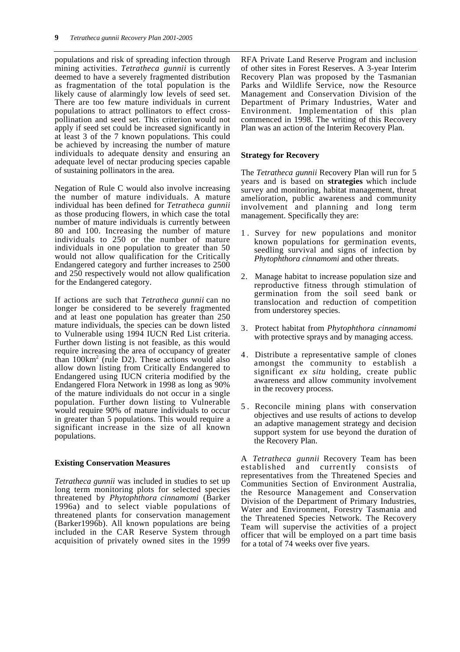populations and risk of spreading infection through mining activities. *Tetratheca gunnii* is currently deemed to have a severely fragmented distribution as fragmentation of the total population is the likely cause of alarmingly low levels of seed set. There are too few mature individuals in current populations to attract pollinators to effect crosspollination and seed set. This criterion would not apply if seed set could be increased significantly in at least 3 of the 7 known populations. This could be achieved by increasing the number of mature individuals to adequate density and ensuring an adequate level of nectar producing species capable of sustaining pollinators in the area.

Negation of Rule C would also involve increasing the number of mature individuals. A mature individual has been defined for *Tetratheca gunnii* as those producing flowers, in which case the total number of mature individuals is currently between 80 and 100. Increasing the number of mature individuals to 250 or the number of mature individuals in one population to greater than 50 would not allow qualification for the Critically Endangered category and further increases to 2500 and 250 respectively would not allow qualification for the Endangered category.

If actions are such that *Tetratheca gunnii* can no longer be considered to be severely fragmented and at least one population has greater than 250 mature individuals, the species can be down listed to Vulnerable using 1994 IUCN Red List criteria. Further down listing is not feasible, as this would require increasing the area of occupancy of greater than 100km<sup>2</sup> (rule D2). These actions would also allow down listing from Critically Endangered to Endangered using IUCN criteria modified by the Endangered Flora Network in 1998 as long as 90% of the mature individuals do not occur in a single population. Further down listing to Vulnerable would require 90% of mature individuals to occur in greater than 5 populations. This would require a significant increase in the size of all known populations.

#### **Existing Conservation Measures**

*Tetratheca gunnii* was included in studies to set up long term monitoring plots for selected species threatened by *Phytophthora cinnamomi* (Barker 1996a) and to select viable populations of threatened plants for conservation management (Barker1996b). All known populations are being included in the CAR Reserve System through acquisition of privately owned sites in the 1999

RFA Private Land Reserve Program and inclusion of other sites in Forest Reserves. A 3-year Interim Recovery Plan was proposed by the Tasmanian Parks and Wildlife Service, now the Resource Management and Conservation Division of the Department of Primary Industries, Water and Environment. Implementation of this plan commenced in 1998. The writing of this Recovery Plan was an action of the Interim Recovery Plan.

#### **Strategy for Recovery**

The *Tetratheca gunnii* Recovery Plan will run for 5 years and is based on **strategies** which include survey and monitoring, habitat management, threat amelioration, public awareness and community involvement and planning and long term management. Specifically they are:

- 1 . Survey for new populations and monitor known populations for germination events, seedling survival and signs of infection by *Phytophthora cinnamomi* and other threats.
- 2. Manage habitat to increase population size and reproductive fitness through stimulation of germination from the soil seed bank or translocation and reduction of competition from understorey species.
- 3. Protect habitat from *Phytophthora cinnamomi* with protective sprays and by managing access.
- 4 . Distribute a representative sample of clones amongst the community to establish a significant *ex situ* holding, create public awareness and allow community involvement in the recovery process.
- 5 . Reconcile mining plans with conservation objectives and use results of actions to develop an adaptive management strategy and decision support system for use beyond the duration of the Recovery Plan.

A *Tetratheca gunnii* Recovery Team has been established and currently consists of representatives from the Threatened Species and Communities Section of Environment Australia, the Resource Management and Conservation Division of the Department of Primary Industries, Water and Environment, Forestry Tasmania and the Threatened Species Network. The Recovery Team will supervise the activities of a project officer that will be employed on a part time basis for a total of 74 weeks over five years.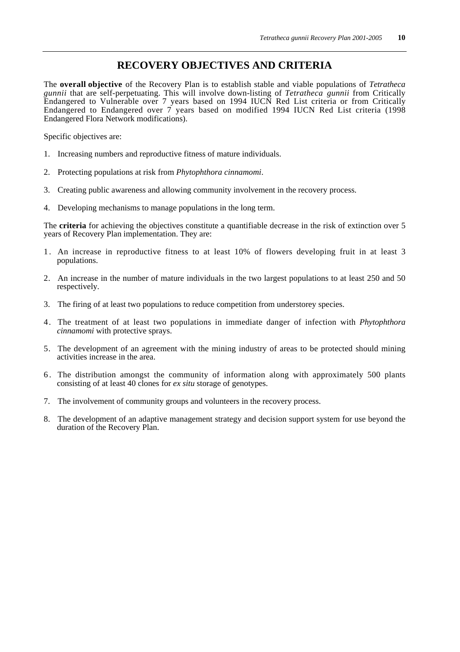### **RECOVERY OBJECTIVES AND CRITERIA**

The **overall objective** of the Recovery Plan is to establish stable and viable populations of *Tetratheca gunnii* that are self-perpetuating. This will involve down-listing of *Tetratheca gunnii* from Critically Endangered to Vulnerable over 7 years based on 1994 IUCN Red List criteria or from Critically Endangered to Endangered over 7 years based on modified 1994 IUCN Red List criteria (1998 Endangered Flora Network modifications).

Specific objectives are:

- 1. Increasing numbers and reproductive fitness of mature individuals.
- 2. Protecting populations at risk from *Phytophthora cinnamomi*.
- 3. Creating public awareness and allowing community involvement in the recovery process.
- 4. Developing mechanisms to manage populations in the long term.

The **criteria** for achieving the objectives constitute a quantifiable decrease in the risk of extinction over 5 years of Recovery Plan implementation. They are:

- 1 . An increase in reproductive fitness to at least 10% of flowers developing fruit in at least 3 populations.
- 2. An increase in the number of mature individuals in the two largest populations to at least 250 and 50 respectively.
- 3. The firing of at least two populations to reduce competition from understorey species.
- 4. The treatment of at least two populations in immediate danger of infection with *Phytophthora cinnamomi* with protective sprays.
- 5. The development of an agreement with the mining industry of areas to be protected should mining activities increase in the area.
- 6 . The distribution amongst the community of information along with approximately 500 plants consisting of at least 40 clones for *ex situ* storage of genotypes.
- 7. The involvement of community groups and volunteers in the recovery process.
- 8. The development of an adaptive management strategy and decision support system for use beyond the duration of the Recovery Plan.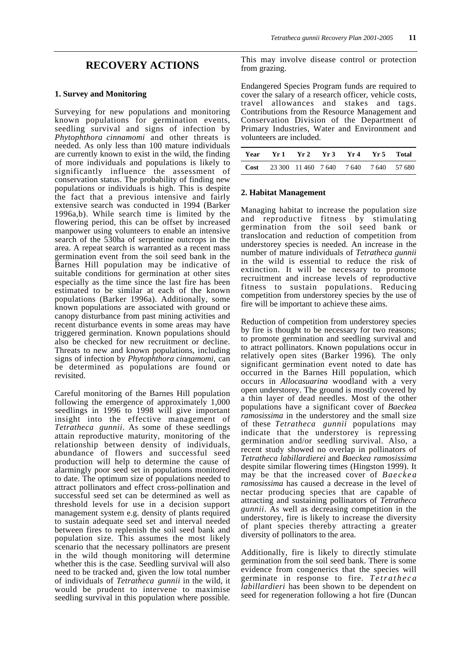### **RECOVERY ACTIONS**

#### **1. Survey and Monitoring**

Surveying for new populations and monitoring known populations for germination events, seedling survival and signs of infection by *Phytophthora cinnamomi* and other threats is needed. As only less than 100 mature individuals are currently known to exist in the wild, the finding of more individuals and populations is likely to significantly influence the assessment of conservation status. The probability of finding new populations or individuals is high. This is despite the fact that a previous intensive and fairly extensive search was conducted in 1994 (Barker 1996a,b). While search time is limited by the flowering period, this can be offset by increased manpower using volunteers to enable an intensive search of the 530ha of serpentine outcrops in the area. A repeat search is warranted as a recent mass germination event from the soil seed bank in the Barnes Hill population may be indicative of suitable conditions for germination at other sites especially as the time since the last fire has been estimated to be similar at each of the known populations (Barker 1996a). Additionally, some known populations are associated with ground or canopy disturbance from past mining activities and recent disturbance events in some areas may have triggered germination. Known populations should also be checked for new recruitment or decline. Threats to new and known populations, including signs of infection by *Phytophthora cinnamomi,* can be determined as populations are found or revisited.

Careful monitoring of the Barnes Hill population following the emergence of approximately 1,000 seedlings in 1996 to 1998 will give important insight into the effective management of *Tetratheca gunnii*. As some of these seedlings attain reproductive maturity, monitoring of the relationship between density of individuals, abundance of flowers and successful seed production will help to determine the cause of alarmingly poor seed set in populations monitored to date. The optimum size of populations needed to attract pollinators and effect cross-pollination and successful seed set can be determined as well as threshold levels for use in a decision support management system e.g. density of plants required to sustain adequate seed set and interval needed between fires to replenish the soil seed bank and population size. This assumes the most likely scenario that the necessary pollinators are present in the wild though monitoring will determine whether this is the case. Seedling survival will also need to be tracked and, given the low total number of individuals of *Tetratheca gunnii* in the wild, it would be prudent to intervene to maximise seedling survival in this population where possible.

This may involve disease control or protection from grazing.

Endangered Species Program funds are required to cover the salary of a research officer, vehicle costs, travel allowances and stakes and tags. Contributions from the Resource Management and Conservation Division of the Department of Primary Industries, Water and Environment and volunteers are included.

|                                                    | Year Yr 1 Yr 2 Yr 3 Yr 4 Yr 5 Total |  |  |
|----------------------------------------------------|-------------------------------------|--|--|
| <b>Cost</b> 23 300 11 460 7 640 7 640 7 640 57 680 |                                     |  |  |

#### **2. Habitat Management**

Managing habitat to increase the population size and reproductive fitness by stimulating germination from the soil seed bank or translocation and reduction of competition from understorey species is needed. An increase in the number of mature individuals of *Tetratheca gunnii* in the wild is essential to reduce the risk of extinction. It will be necessary to promote recruitment and increase levels of reproductive fitness to sustain populations. Reducing competition from understorey species by the use of fire will be important to achieve these aims.

Reduction of competition from understorey species by fire is thought to be necessary for two reasons; to promote germination and seedling survival and to attract pollinators. Known populations occur in relatively open sites (Barker 1996)*.* The only significant germination event noted to date has occurred in the Barnes Hill population, which occurs in *Allocasuarina* woodland with a very open understorey. The ground is mostly covered by a thin layer of dead needles. Most of the other populations have a significant cover of *Baeckea ramosissima* in the understorey and the small size of these *Tetratheca gunnii* populations may indicate that the understorey is repressing germination and/or seedling survival. Also, a recent study showed no overlap in pollinators of *Tetratheca labillardierei* and *Baeckea ramosissima* despite similar flowering times (Hingston 1999). It may be that the increased cover of *Baeckea ramosissima* has caused a decrease in the level of nectar producing species that are capable of attracting and sustaining pollinators of *Tetratheca gunnii*. As well as decreasing competition in the understorey, fire is likely to increase the diversity of plant species thereby attracting a greater diversity of pollinators to the area.

Additionally, fire is likely to directly stimulate germination from the soil seed bank. There is some evidence from congenerics that the species will germinate in response to fire. *Tetratheca labillardieri* has been shown to be dependent on seed for regeneration following a hot fire (Duncan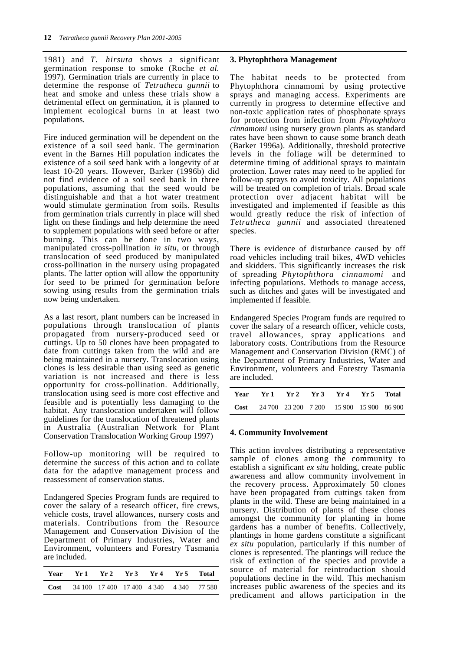1981) and *T. hirsuta* shows a significant germination response to smoke (Roche *et al.* 1997). Germination trials are currently in place to determine the response of *Tetratheca gunnii* to heat and smoke and unless these trials show a detrimental effect on germination, it is planned to implement ecological burns in at least two populations.

Fire induced germination will be dependent on the existence of a soil seed bank. The germination event in the Barnes Hill population indicates the existence of a soil seed bank with a longevity of at least 10-20 years. However, Barker (1996b) did not find evidence of a soil seed bank in three populations, assuming that the seed would be distinguishable and that a hot water treatment would stimulate germination from soils. Results from germination trials currently in place will shed light on these findings and help determine the need to supplement populations with seed before or after burning. This can be done in two ways, manipulated cross-pollination *in situ*, or through translocation of seed produced by manipulated cross-pollination in the nursery using propagated plants. The latter option will allow the opportunity for seed to be primed for germination before sowing using results from the germination trials now being undertaken.

As a last resort, plant numbers can be increased in populations through translocation of plants propagated from nursery-produced seed or cuttings. Up to 50 clones have been propagated to date from cuttings taken from the wild and are being maintained in a nursery. Translocation using clones is less desirable than using seed as genetic variation is not increased and there is less opportunity for cross-pollination. Additionally, translocation using seed is more cost effective and feasible and is potentially less damaging to the habitat. Any translocation undertaken will follow guidelines for the translocation of threatened plants in Australia (Australian Network for Plant Conservation Translocation Working Group 1997)

Follow-up monitoring will be required to determine the success of this action and to collate data for the adaptive management process and reassessment of conservation status.

Endangered Species Program funds are required to cover the salary of a research officer, fire crews, vehicle costs, travel allowances, nursery costs and materials. Contributions from the Resource Management and Conservation Division of the Department of Primary Industries, Water and Environment, volunteers and Forestry Tasmania are included.

|                                                     | Year Yr1 Yr2 Yr3 Yr4 Yr5 Total |  |  |
|-----------------------------------------------------|--------------------------------|--|--|
| <b>Cost</b> 34 100 17 400 17 400 4 340 4 340 77 580 |                                |  |  |

#### **3. Phytophthora Management**

The habitat needs to be protected from Phytophthora cinnamomi by using protective sprays and managing access. Experiments are currently in progress to determine effective and non-toxic application rates of phosphonate sprays for protection from infection from *Phytophthora cinnamomi* using nursery grown plants as standard rates have been shown to cause some branch death (Barker 1996a). Additionally, threshold protective levels in the foliage will be determined to determine timing of additional sprays to maintain protection. Lower rates may need to be applied for follow-up sprays to avoid toxicity. All populations will be treated on completion of trials. Broad scale protection over adjacent habitat will be investigated and implemented if feasible as this would greatly reduce the risk of infection of *Tetratheca gunnii* and associated threatened species.

There is evidence of disturbance caused by off road vehicles including trail bikes, 4WD vehicles and skidders. This significantly increases the risk of spreading *Phytophthora cinnamomi* and infecting populations. Methods to manage access, such as ditches and gates will be investigated and implemented if feasible.

Endangered Species Program funds are required to cover the salary of a research officer, vehicle costs, travel allowances, spray applications and laboratory costs. Contributions from the Resource Management and Conservation Division (RMC) of the Department of Primary Industries, Water and Environment, volunteers and Forestry Tasmania are included.

| Year Yr 1 Yr 2 Yr 3 Yr 4 Yr 5 Total                  |  |  |  |  |
|------------------------------------------------------|--|--|--|--|
| <b>Cost</b> 24 700 23 200 7 200 15 900 15 900 86 900 |  |  |  |  |

#### **4. Community Involvement**

This action involves distributing a representative sample of clones among the community to establish a significant *ex situ* holding, create public awareness and allow community involvement in the recovery process. Approximately 50 clones have been propagated from cuttings taken from plants in the wild. These are being maintained in a nursery. Distribution of plants of these clones amongst the community for planting in home gardens has a number of benefits. Collectively, plantings in home gardens constitute a significant *ex situ* population, particularly if this number of clones is represented. The plantings will reduce the risk of extinction of the species and provide a source of material for reintroduction should populations decline in the wild. This mechanism increases public awareness of the species and its predicament and allows participation in the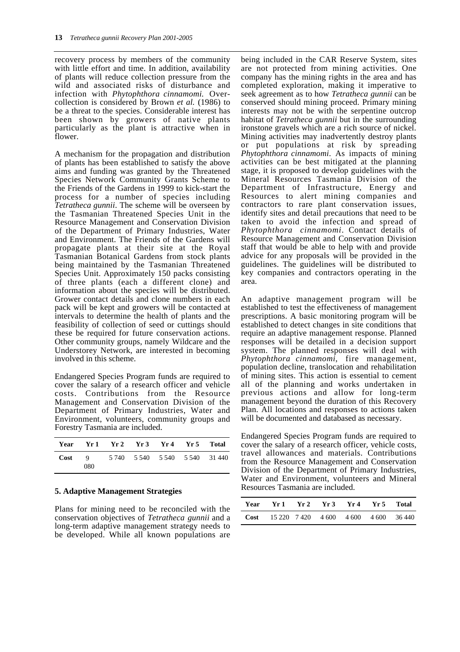recovery process by members of the community with little effort and time. In addition, availability of plants will reduce collection pressure from the wild and associated risks of disturbance and infection with *Phytophthora cinnamomi.* Overcollection is considered by Brown *et al.* (1986) to be a threat to the species. Considerable interest has been shown by growers of native plants particularly as the plant is attractive when in flower.

A mechanism for the propagation and distribution of plants has been established to satisfy the above aims and funding was granted by the Threatened Species Network Community Grants Scheme to the Friends of the Gardens in 1999 to kick-start the process for a number of species including *Tetratheca gunnii*. The scheme will be overseen by the Tasmanian Threatened Species Unit in the Resource Management and Conservation Division of the Department of Primary Industries, Water and Environment. The Friends of the Gardens will propagate plants at their site at the Royal Tasmanian Botanical Gardens from stock plants being maintained by the Tasmanian Threatened Species Unit. Approximately 150 packs consisting of three plants (each a different clone) and information about the species will be distributed. Grower contact details and clone numbers in each pack will be kept and growers will be contacted at intervals to determine the health of plants and the feasibility of collection of seed or cuttings should these be required for future conservation actions. Other community groups, namely Wildcare and the Understorey Network, are interested in becoming involved in this scheme.

Endangered Species Program funds are required to cover the salary of a research officer and vehicle costs. Contributions from the Resource Management and Conservation Division of the Department of Primary Industries, Water and Environment, volunteers, community groups and Forestry Tasmania are included.

| Year |     | Yr 1 Yr 2 Yr 3 Yr 4 Yr 5 Total |  |                                  |
|------|-----|--------------------------------|--|----------------------------------|
| Cost | 080 |                                |  | 9 5 740 5 540 5 540 5 540 31 440 |

#### **5. Adaptive Management Strategies**

Plans for mining need to be reconciled with the conservation objectives of *Tetratheca gunnii* and a long-term adaptive management strategy needs to be developed. While all known populations are

being included in the CAR Reserve System, sites are not protected from mining activities. One company has the mining rights in the area and has completed exploration, making it imperative to seek agreement as to how *Tetratheca gunnii* can be conserved should mining proceed. Primary mining interests may not be with the serpentine outcrop habitat of *Tetratheca gunnii* but in the surrounding ironstone gravels which are a rich source of nickel. Mining activities may inadvertently destroy plants or put populations at risk by spreading *Phytophthora cinnamomi*. As impacts of mining activities can be best mitigated at the planning stage, it is proposed to develop guidelines with the Mineral Resources Tasmania Division of the Department of Infrastructure, Energy and Resources to alert mining companies and contractors to rare plant conservation issues, identify sites and detail precautions that need to be taken to avoid the infection and spread of *Phytophthora cinnamomi*. Contact details of Resource Management and Conservation Division staff that would be able to help with and provide advice for any proposals will be provided in the guidelines. The guidelines will be distributed to key companies and contractors operating in the area.

An adaptive management program will be established to test the effectiveness of management prescriptions. A basic monitoring program will be established to detect changes in site conditions that require an adaptive management response. Planned responses will be detailed in a decision support system. The planned responses will deal with *Phytophthora cinnamomi*, fire management, population decline, translocation and rehabilitation of mining sites. This action is essential to cement all of the planning and works undertaken in previous actions and allow for long-term management beyond the duration of this Recovery Plan. All locations and responses to actions taken will be documented and databased as necessary.

Endangered Species Program funds are required to cover the salary of a research officer, vehicle costs, travel allowances and materials. Contributions from the Resource Management and Conservation Division of the Department of Primary Industries, Water and Environment, volunteers and Mineral Resources Tasmania are included.

|                                                   | Year Yr1 Yr2 Yr3 Yr4 Yr5 Total |  |  |  |
|---------------------------------------------------|--------------------------------|--|--|--|
| <b>Cost</b> 15 220 7 420 4 600 4 600 4 600 36 440 |                                |  |  |  |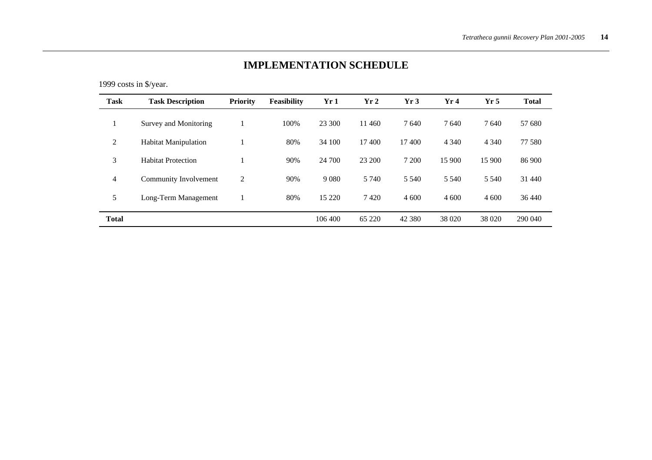# **IMPLEMENTATION SCHEDULE**

1999 costs in \$/year.

| <b>Task</b>    | <b>Task Description</b>     | <b>Priority</b> | <b>Feasibility</b> | Yr1     | Yr <sub>2</sub> | Yr3      | Yr4     | Yr <sub>5</sub> | <b>Total</b> |
|----------------|-----------------------------|-----------------|--------------------|---------|-----------------|----------|---------|-----------------|--------------|
|                | Survey and Monitoring       |                 | 100%               | 23 300  | 11460           | 7640     | 7640    | 7640            | 57 680       |
| 2              | <b>Habitat Manipulation</b> |                 | 80%                | 34 100  | 17400           | 17400    | 4 3 4 0 | 4 3 4 0         | 77 580       |
| 3              | <b>Habitat Protection</b>   |                 | 90%                | 24 700  | 23 200          | 7 200    | 15 900  | 15 900          | 86 900       |
| $\overline{4}$ | Community Involvement       | 2               | 90%                | 9 0 8 0 | 5 7 4 0         | 5 5 4 0  | 5 5 4 0 | 5 5 4 0         | 31 440       |
| 5              | Long-Term Management        |                 | 80%                | 15 2 20 | 7420            | 4 600    | 4 600   | 4 600           | 36 440       |
| <b>Total</b>   |                             |                 |                    | 106 400 | 65 220          | 42 3 8 0 | 38 0 20 | 38 0 20         | 290 040      |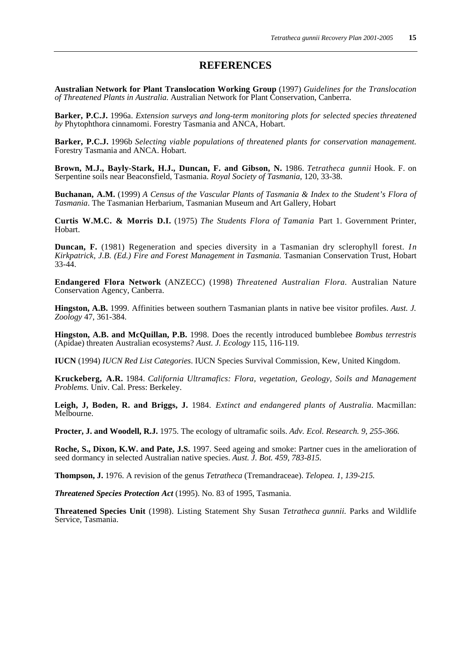### **REFERENCES**

**Australian Network for Plant Translocation Working Group** (1997) *Guidelines for the Translocation of Threatened Plants in Australia.* Australian Network for Plant Conservation, Canberra.

**Barker, P.C.J.** 1996a. *Extension surveys and long-term monitoring plots for selected species threatened by* Phytophthora cinnamomi. Forestry Tasmania and ANCA, Hobart.

**Barker, P.C.J.** 1996b *Selecting viable populations of threatened plants for conservation management.* Forestry Tasmania and ANCA. Hobart.

**Brown, M.J., Bayly-Stark, H.J., Duncan, F. and Gibson, N.** 1986. *Tetratheca gunnii* Hook. F. on Serpentine soils near Beaconsfield, Tasmania. *Royal Society of Tasmania*, 120, 33-38.

**Buchanan, A.M.** (1999) *A Census of the Vascular Plants of Tasmania & Index to the Student's Flora of Tasmania*. The Tasmanian Herbarium, Tasmanian Museum and Art Gallery, Hobart

**Curtis W.M.C. & Morris D.I.** (1975) *The Students Flora of Tamania* Part 1. Government Printer, Hobart.

**Duncan, F.** (1981) Regeneration and species diversity in a Tasmanian dry sclerophyll forest. *In Kirkpatrick, J.B. (Ed.) Fire and Forest Management in Tasmania.* Tasmanian Conservation Trust, Hobart 33-44.

**Endangered Flora Network** (ANZECC) (1998) *Threatened Australian Flora*. Australian Nature Conservation Agency, Canberra.

**Hingston, A.B.** 1999. Affinities between southern Tasmanian plants in native bee visitor profiles. *Aust. J. Zoology* 47, 361-384.

**Hingston, A.B. and McQuillan, P.B.** 1998. Does the recently introduced bumblebee *Bombus terrestris* (Apidae) threaten Australian ecosystems? *Aust. J. Ecology* 115, 116-119.

**IUCN** (1994) *IUCN Red List Categories*. IUCN Species Survival Commission, Kew, United Kingdom.

**Kruckeberg, A.R.** 1984. *California Ultramafics: Flora, vegetation, Geology, Soils and Management Problems.* Univ. Cal. Press: Berkeley.

**Leigh, J, Boden, R. and Briggs, J.** 1984. *Extinct and endangered plants of Australia.* Macmillan: Melbourne.

**Procter, J. and Woodell, R.J.** 1975. The ecology of ultramafic soils. *Adv. Ecol. Research. 9, 255-366.*

**Roche, S., Dixon, K.W. and Pate, J.S.** 1997. Seed ageing and smoke: Partner cues in the amelioration of seed dormancy in selected Australian native species. *Aust. J. Bot. 459, 783-815.*

**Thompson, J.** 1976. A revision of the genus *Tetratheca* (Tremandraceae). *Telopea. 1, 139-215.*

*Threatened Species Protection Act* (1995). No. 83 of 1995, Tasmania.

**Threatened Species Unit** (1998). Listing Statement Shy Susan *Tetratheca gunnii.* Parks and Wildlife Service, Tasmania.